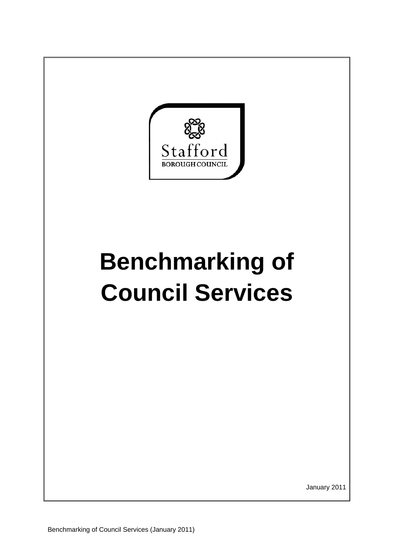

## **Benchmarking of Council Services**

January 2011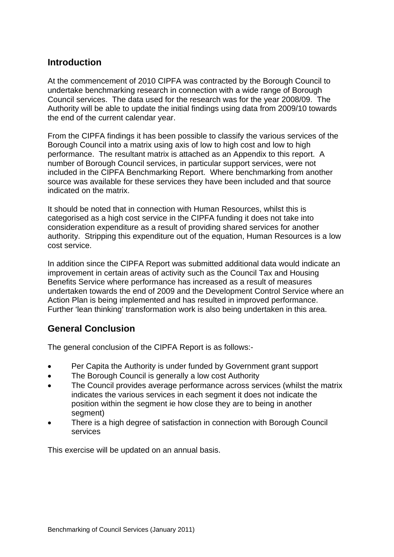## **Introduction**

At the commencement of 2010 CIPFA was contracted by the Borough Council to undertake benchmarking research in connection with a wide range of Borough Council services. The data used for the research was for the year 2008/09. The Authority will be able to update the initial findings using data from 2009/10 towards the end of the current calendar year.

From the CIPFA findings it has been possible to classify the various services of the Borough Council into a matrix using axis of low to high cost and low to high performance. The resultant matrix is attached as an Appendix to this report. A number of Borough Council services, in particular support services, were not included in the CIPFA Benchmarking Report. Where benchmarking from another source was available for these services they have been included and that source indicated on the matrix.

It should be noted that in connection with Human Resources, whilst this is categorised as a high cost service in the CIPFA funding it does not take into consideration expenditure as a result of providing shared services for another authority. Stripping this expenditure out of the equation, Human Resources is a low cost service.

In addition since the CIPFA Report was submitted additional data would indicate an improvement in certain areas of activity such as the Council Tax and Housing Benefits Service where performance has increased as a result of measures undertaken towards the end of 2009 and the Development Control Service where an Action Plan is being implemented and has resulted in improved performance. Further 'lean thinking' transformation work is also being undertaken in this area.

## **General Conclusion**

The general conclusion of the CIPFA Report is as follows:-

- Per Capita the Authority is under funded by Government grant support
- The Borough Council is generally a low cost Authority
- The Council provides average performance across services (whilst the matrix indicates the various services in each segment it does not indicate the position within the segment ie how close they are to being in another segment)
- There is a high degree of satisfaction in connection with Borough Council services

This exercise will be updated on an annual basis.